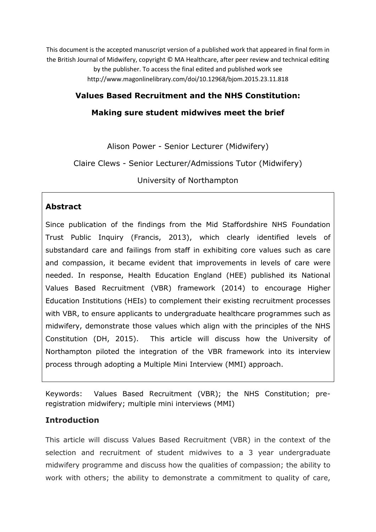This document is the accepted manuscript version of a published work that appeared in final form in the British Journal of Midwifery, copyright © MA Healthcare, after peer review and technical editing by the publisher. To access the final edited and published work see http://www.magonlinelibrary.com/doi/10.12968/bjom.2015.23.11.818

### **Values Based Recruitment and the NHS Constitution:**

### **Making sure student midwives meet the brief**

Alison Power - Senior Lecturer (Midwifery)

Claire Clews - Senior Lecturer/Admissions Tutor (Midwifery)

University of Northampton

### **Abstract**

Since publication of the findings from the Mid Staffordshire NHS Foundation Trust Public Inquiry (Francis, 2013), which clearly identified levels of substandard care and failings from staff in exhibiting core values such as care and compassion, it became evident that improvements in levels of care were needed. In response, Health Education England (HEE) published its National Values Based Recruitment (VBR) framework (2014) to encourage Higher Education Institutions (HEIs) to complement their existing recruitment processes with VBR, to ensure applicants to undergraduate healthcare programmes such as midwifery, demonstrate those values which align with the principles of the NHS Constitution (DH, 2015). This article will discuss how the University of Northampton piloted the integration of the VBR framework into its interview process through adopting a Multiple Mini Interview (MMI) approach.

Keywords: Values Based Recruitment (VBR); the NHS Constitution; preregistration midwifery; multiple mini interviews (MMI)

### **Introduction**

This article will discuss Values Based Recruitment (VBR) in the context of the selection and recruitment of student midwives to a 3 year undergraduate midwifery programme and discuss how the qualities of compassion; the ability to work with others; the ability to demonstrate a commitment to quality of care,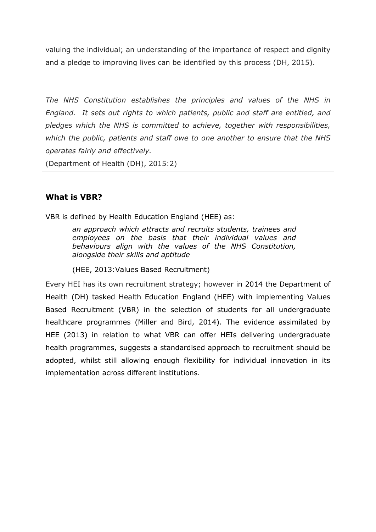valuing the individual; an understanding of the importance of respect and dignity and a pledge to improving lives can be identified by this process (DH, 2015).

*The NHS Constitution establishes the principles and values of the NHS in England. It sets out rights to which patients, public and staff are entitled, and pledges which the NHS is committed to achieve, together with responsibilities, which the public, patients and staff owe to one another to ensure that the NHS operates fairly and effectively.*

(Department of Health (DH), 2015:2)

# **What is VBR?**

VBR is defined by Health Education England (HEE) as:

*an approach which attracts and recruits students, trainees and employees on the basis that their individual values and behaviours align with the values of the NHS Constitution, alongside their skills and aptitude*

(HEE, 2013:Values Based Recruitment)

Every HEI has its own recruitment strategy; however in 2014 the Department of Health (DH) tasked Health Education England (HEE) with implementing Values Based Recruitment (VBR) in the selection of students for all undergraduate healthcare programmes (Miller and Bird, 2014). The evidence assimilated by HEE (2013) in relation to what VBR can offer HEIs delivering undergraduate health programmes, suggests a standardised approach to recruitment should be adopted, whilst still allowing enough flexibility for individual innovation in its implementation across different institutions.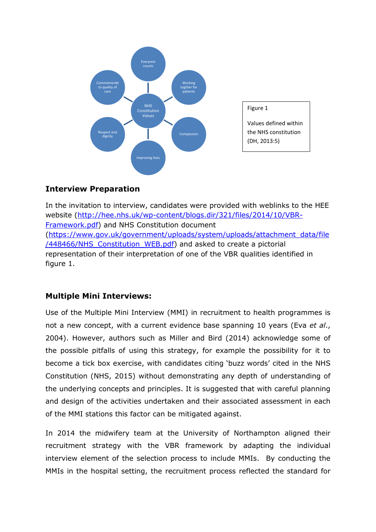

### **Interview Preparation**

In the invitation to interview, candidates were provided with weblinks to the HEE website [\(http://hee.nhs.uk/wp-content/blogs.dir/321/files/2014/10/VBR-](http://hee.nhs.uk/wp-content/blogs.dir/321/files/2014/10/VBR-Framework.pdf)[Framework.pdf\)](http://hee.nhs.uk/wp-content/blogs.dir/321/files/2014/10/VBR-Framework.pdf) and NHS Constitution document [\(https://www.gov.uk/government/uploads/system/uploads/attachment\\_data/file](https://www.gov.uk/government/uploads/system/uploads/attachment_data/file/448466/NHS_Constitution_WEB.pdf) /448466/NHS Constitution WEB.pdf) and asked to create a pictorial representation of their interpretation of one of the VBR qualities identified in figure 1.

# **Multiple Mini Interviews:**

Use of the Multiple Mini Interview (MMI) in recruitment to health programmes is not a new concept, with a current evidence base spanning 10 years (Eva *et al*., 2004). However, authors such as Miller and Bird (2014) acknowledge some of the possible pitfalls of using this strategy, for example the possibility for it to become a tick box exercise, with candidates citing 'buzz words' cited in the NHS Constitution (NHS, 2015) without demonstrating any depth of understanding of the underlying concepts and principles. It is suggested that with careful planning and design of the activities undertaken and their associated assessment in each of the MMI stations this factor can be mitigated against.

In 2014 the midwifery team at the University of Northampton aligned their recruitment strategy with the VBR framework by adapting the individual interview element of the selection process to include MMIs. By conducting the MMIs in the hospital setting, the recruitment process reflected the standard for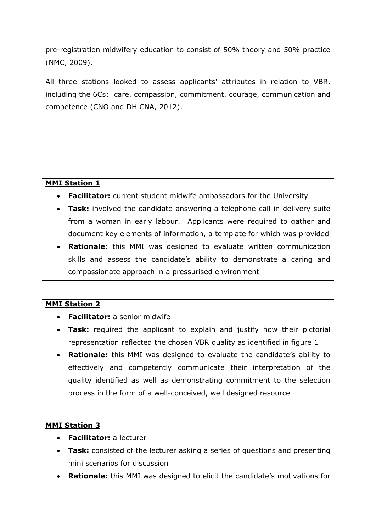pre-registration midwifery education to consist of 50% theory and 50% practice (NMC, 2009).

All three stations looked to assess applicants' attributes in relation to VBR, including the 6Cs: care, compassion, commitment, courage, communication and competence (CNO and DH CNA, 2012).

### **MMI Station 1**

- **Facilitator:** current student midwife ambassadors for the University
- **Task:** involved the candidate answering a telephone call in delivery suite from a woman in early labour. Applicants were required to gather and document key elements of information, a template for which was provided
- **Rationale:** this MMI was designed to evaluate written communication skills and assess the candidate's ability to demonstrate a caring and compassionate approach in a pressurised environment

### **MMI Station 2**

- **Facilitator:** a senior midwife
- **Task:** required the applicant to explain and justify how their pictorial representation reflected the chosen VBR quality as identified in figure 1
- **Rationale:** this MMI was designed to evaluate the candidate's ability to effectively and competently communicate their interpretation of the quality identified as well as demonstrating commitment to the selection process in the form of a well-conceived, well designed resource

# **MMI Station 3**

- **Facilitator:** a lecturer
- **Task:** consisted of the lecturer asking a series of questions and presenting mini scenarios for discussion
- **Rationale:** this MMI was designed to elicit the candidate's motivations for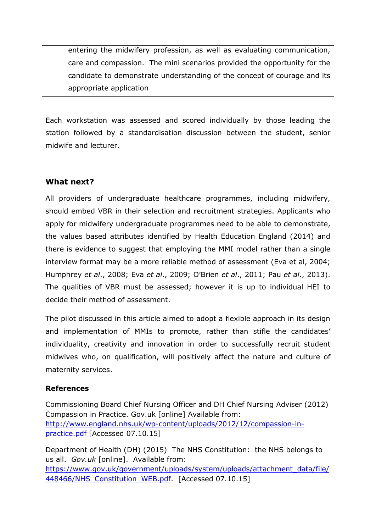entering the midwifery profession, as well as evaluating communication, care and compassion. The mini scenarios provided the opportunity for the candidate to demonstrate understanding of the concept of courage and its appropriate application

Each workstation was assessed and scored individually by those leading the station followed by a standardisation discussion between the student, senior midwife and lecturer.

# **What next?**

All providers of undergraduate healthcare programmes, including midwifery, should embed VBR in their selection and recruitment strategies. Applicants who apply for midwifery undergraduate programmes need to be able to demonstrate, the values based attributes identified by Health Education England (2014) and there is evidence to suggest that employing the MMI model rather than a single interview format may be a more reliable method of assessment (Eva et al, 2004; Humphrey *et al*., 2008; Eva *et al*., 2009; O'Brien *et al*., 2011; Pau *et al*., 2013). The qualities of VBR must be assessed; however it is up to individual HEI to decide their method of assessment.

The pilot discussed in this article aimed to adopt a flexible approach in its design and implementation of MMIs to promote, rather than stifle the candidates' individuality, creativity and innovation in order to successfully recruit student midwives who, on qualification, will positively affect the nature and culture of maternity services.

### **References**

Commissioning Board Chief Nursing Officer and DH Chief Nursing Adviser (2012) Compassion in Practice. Gov.uk [online] Available from: [http://www.england.nhs.uk/wp-content/uploads/2012/12/compassion-in](http://www.england.nhs.uk/wp-content/uploads/2012/12/compassion-in-practice.pdf)[practice.pdf](http://www.england.nhs.uk/wp-content/uploads/2012/12/compassion-in-practice.pdf) [Accessed 07.10.15]

Department of Health (DH) (2015) The NHS Constitution: the NHS belongs to us all. *Gov.uk* [online]. Available from: [https://www.gov.uk/government/uploads/system/uploads/attachment\\_data/file/](https://www.gov.uk/government/uploads/system/uploads/attachment_data/file/448466/NHS_Constitution_WEB.pdf) [448466/NHS\\_Constitution\\_WEB.pdf.](https://www.gov.uk/government/uploads/system/uploads/attachment_data/file/448466/NHS_Constitution_WEB.pdf) [Accessed 07.10.15]